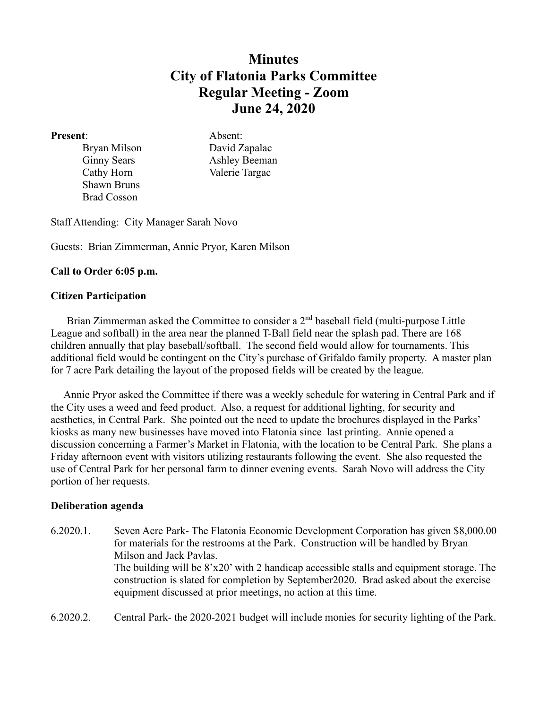# **Minutes City of Flatonia Parks Committee Regular Meeting - Zoom June 24, 2020**

#### **Present**: Absent:

Shawn Bruns Brad Cosson

Bryan Milson David Zapalac Ginny Sears Ashley Beeman Cathy Horn Valerie Targac

Staff Attending: City Manager Sarah Novo

Guests: Brian Zimmerman, Annie Pryor, Karen Milson

# **Call to Order 6:05 p.m.**

## **Citizen Participation**

Brian Zimmerman asked the Committee to consider a 2<sup>nd</sup> baseball field (multi-purpose Little League and softball) in the area near the planned T-Ball field near the splash pad. There are 168 children annually that play baseball/softball. The second field would allow for tournaments. This additional field would be contingent on the City's purchase of Grifaldo family property. A master plan for 7 acre Park detailing the layout of the proposed fields will be created by the league.

 Annie Pryor asked the Committee if there was a weekly schedule for watering in Central Park and if the City uses a weed and feed product. Also, a request for additional lighting, for security and aesthetics, in Central Park. She pointed out the need to update the brochures displayed in the Parks' kiosks as many new businesses have moved into Flatonia since last printing. Annie opened a discussion concerning a Farmer's Market in Flatonia, with the location to be Central Park. She plans a Friday afternoon event with visitors utilizing restaurants following the event. She also requested the use of Central Park for her personal farm to dinner evening events. Sarah Novo will address the City portion of her requests.

## **Deliberation agenda**

- 6.2020.1. Seven Acre Park- The Flatonia Economic Development Corporation has given \$8,000.00 for materials for the restrooms at the Park. Construction will be handled by Bryan Milson and Jack Pavlas. The building will be 8'x20' with 2 handicap accessible stalls and equipment storage. The construction is slated for completion by September2020. Brad asked about the exercise equipment discussed at prior meetings, no action at this time.
- 6.2020.2. Central Park- the 2020-2021 budget will include monies for security lighting of the Park.